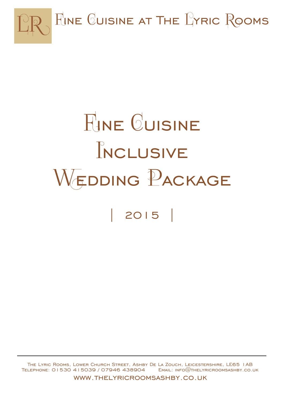

# **FINE CUISINE** TNCLUSIVE WEDDING PACKAGE | 2015 |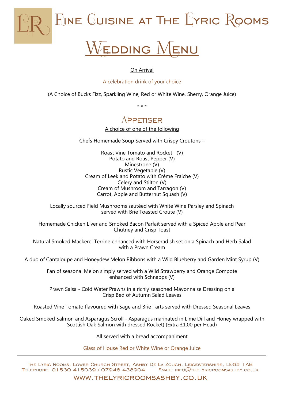

# EDDING

#### On Arrival

A celebration drink of your choice

(A Choice of Bucks Fizz, Sparkling Wine, Red or White Wine, Sherry, Orange Juice)

\* \* \*

### **APPETISER**

A choice of one of the following

Chefs Homemade Soup Served with Crispy Croutons –

Roast Vine Tomato and Rocket (V) Potato and Roast Pepper (V) Minestrone (V) Rustic Vegetable (V) Cream of Leek and Potato with Crème Fraiche (V) Celery and Stilton (V) Cream of Mushroom and Tarragon (V) Carrot, Apple and Butternut Squash (V)

Locally sourced Field Mushrooms sautéed with White Wine Parsley and Spinach served with Brie Toasted Croute (V)

Homemade Chicken Liver and Smoked Bacon Parfait served with a Spiced Apple and Pear Chutney and Crisp Toast

Natural Smoked Mackerel Terrine enhanced with Horseradish set on a Spinach and Herb Salad with a Prawn Cream

A duo of Cantaloupe and Honeydew Melon Ribbons with a Wild Blueberry and Garden Mint Syrup (V)

Fan of seasonal Melon simply served with a Wild Strawberry and Orange Compote enhanced with Schnapps (V)

Prawn Salsa - Cold Water Prawns in a richly seasoned Mayonnaise Dressing on a Crisp Bed of Autumn Salad Leaves

Roasted Vine Tomato flavoured with Sage and Brie Tarts served with Dressed Seasonal Leaves

Oaked Smoked Salmon and Asparagus Scroll - Asparagus marinated in Lime Dill and Honey wrapped with Scottish Oak Salmon with dressed Rocket) (Extra £1.00 per Head)

All served with a bread accompaniment

Glass of House Red or White Wine or Orange Juice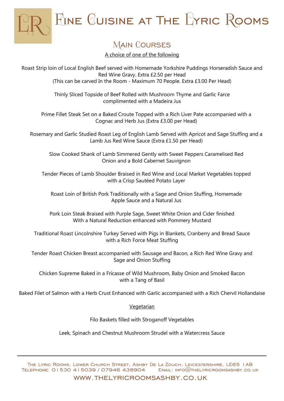$F_{JNE}$  Cuisine at The  $L$ Yric Rooms

# **MAIN COURSES**

A choice of one of the following

Roast Strip loin of Local English Beef served with Homemade Yorkshire Puddings Horseradish Sauce and Red Wine Gravy. Extra £2.50 per Head (This can be carved In the Room - Maximum 70 People. Extra £3.00 Per Head)

> Thinly Sliced Topside of Beef Rolled with Mushroom Thyme and Garlic Farce complimented with a Madeira Jus

Prime Fillet Steak Set on a Baked Croute Topped with a Rich Liver Pate accompanied with a Cognac and Herb Jus (Extra £3.00 per Head)

Rosemary and Garlic Studied Roast Leg of English Lamb Served with Apricot and Sage Stuffing and a Lamb Jus Red Wine Sauce (Extra £1.50 per Head)

Slow Cooked Shank of Lamb Simmered Gently with Sweet Peppers Caramelised Red Onion and a Bold Cabernet Sauvignon

Tender Pieces of Lamb Shoulder Braised in Red Wine and Local Market Vegetables topped with a Crisp Sautéed Potato Layer

Roast Loin of British Pork Traditionally with a Sage and Onion Stuffing, Homemade Apple Sauce and a Natural Jus

Pork Loin Steak Braised with Purple Sage, Sweet White Onion and Cider finished With a Natural Reduction enhanced with Pommery Mustard

Traditional Roast Lincolnshire Turkey Served with Pigs in Blankets, Cranberry and Bread Sauce with a Rich Force Meat Stuffing

Tender Roast Chicken Breast accompanied with Sausage and Bacon, a Rich Red Wine Gravy and Sage and Onion Stuffing

Chicken Supreme Baked in a Fricasse of Wild Mushroom, Baby Onion and Smoked Bacon with a Tang of Basil

Baked Filet of Salmon with a Herb Crust Enhanced with Garlic accompanied with a Rich Chervil Hollandaise

**Vegetarian** 

Filo Baskets filled with Stroganoff Vegetables

Leek, Spinach and Chestnut Mushroom Strudel with a Watercress Sauce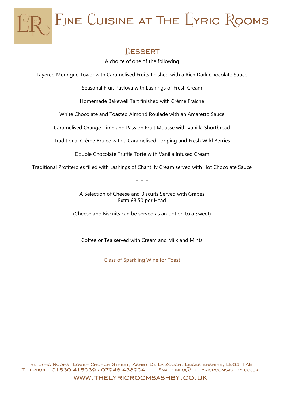

## DESSERT

A choice of one of the following

Layered Meringue Tower with Caramelised Fruits finished with a Rich Dark Chocolate Sauce

Seasonal Fruit Pavlova with Lashings of Fresh Cream

Homemade Bakewell Tart finished with Crème Fraiche

White Chocolate and Toasted Almond Roulade with an Amaretto Sauce

Caramelised Orange, Lime and Passion Fruit Mousse with Vanilla Shortbread

Traditional Crème Brulee with a Caramelised Topping and Fresh Wild Berries

Double Chocolate Truffle Torte with Vanilla Infused Cream

Traditional Profiteroles filled with Lashings of Chantilly Cream served with Hot Chocolate Sauce

+ + +

A Selection of Cheese and Biscuits Served with Grapes Extra £3.50 per Head

(Cheese and Biscuits can be served as an option to a Sweet)

+ + +

Coffee or Tea served with Cream and Milk and Mints

Glass of Sparkling Wine for Toast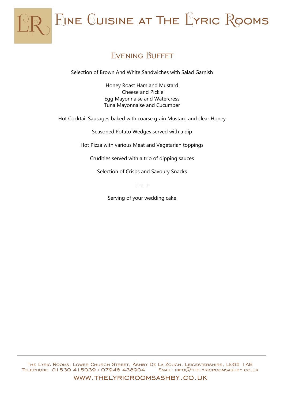

## **FVENING BUFFET**

Selection of Brown And White Sandwiches with Salad Garnish

Honey Roast Ham and Mustard Cheese and Pickle Egg Mayonnaise and Watercress Tuna Mayonnaise and Cucumber

Hot Cocktail Sausages baked with coarse grain Mustard and clear Honey

Seasoned Potato Wedges served with a dip

Hot Pizza with various Meat and Vegetarian toppings

Crudities served with a trio of dipping sauces

Selection of Crisps and Savoury Snacks

+ + +

Serving of your wedding cake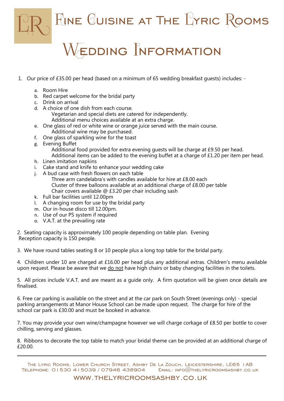

# $\mathop{\mathsf{EDDING}} \nolimits$  NFORMATION

- 1. Our price of £35.00 per head (based on a minimum of 65 wedding breakfast guests) includes:
	- a. Room Hire
	- b. Red carpet welcome for the bridal party
	- c. Drink on arrival
	- d. A choice of one dish from each course.
		- Vegetarian and special diets are catered for independently. Additional menu choices available at an extra charge.
	- e. One glass of red or white wine or orange juice served with the main course. Additional wine may be purchased.
	- f. One glass of sparkling wine for the toast
	- g. Evening Buffet Additional food provided for extra evening guests will be charge at £9.50 per head. Additional items can be added to the evening buffet at a charge of £1.20 per item per head.
	- h. Linen imitation napkins
	- i. Cake stand and knife to enhance your wedding cake
	- j. A bud case with fresh flowers on each table
		- Three arm candelabra's with candles available for hire at £8.00 each Cluster of three balloons available at an additional charge of £8.00 per table Chair covers available @ £3.20 per chair including sash
	- k. Full bar facilities until 12.00pm
	- l. A changing room for use by the bridal party
	- m. Our in-house disco till 12.00pm.
	- n. Use of our PS system if required
	- o. V.A.T. at the prevailing rate

2. Seating capacity is approximately 100 people depending on table plan. Evening Reception capacity is 150 people.

3. We have round tables seating 8 or 10 people plus a long top table for the bridal party.

4. Children under 10 are charged at £16.00 per head plus any additional extras. Children's menu available upon request. Please be aware that we do not have high chairs or baby changing facilities in the toilets.

5. All prices include V.A.T. and are meant as a guide only. A firm quotation will be given once details are finalised.

6. Free car parking is available on the street and at the car park on South Street (evenings only) - special parking arrangements at Manor House School can be made upon request. The charge for hire of the school car park is £30.00 and must be booked in advance.

7. You may provide your own wine/champagne however we will charge corkage of £8.50 per bottle to cover chilling, serving and glasses.

8. Ribbons to decorate the top table to match your bridal theme can be provided at an additional charge of £20.00.